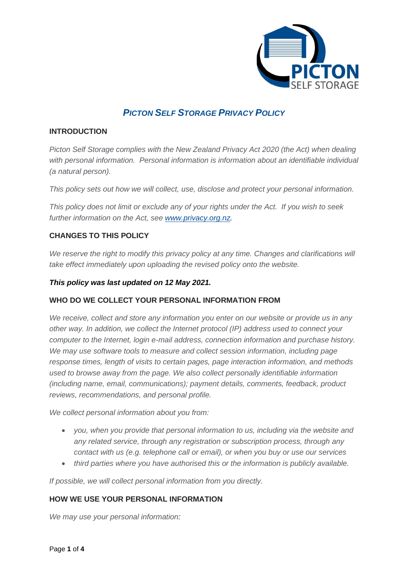

# *PICTON SELF STORAGE PRIVACY POLICY*

#### **INTRODUCTION**

*Picton Self Storage complies with the New Zealand Privacy Act 2020 (the Act) when dealing with personal information. Personal information is information about an identifiable individual (a natural person).*

*This policy sets out how we will collect, use, disclose and protect your personal information.*

*This policy does not limit or exclude any of your rights under the Act. If you wish to seek further information on the Act, see [www.privacy.org.nz.](http://www.privacy.org.nz/)*

# **CHANGES TO THIS POLICY**

We reserve the right to modify this privacy policy at any time. Changes and clarifications will *take effect immediately upon uploading the revised policy onto the website.*

#### *This policy was last updated on 12 May 2021.*

## **WHO DO WE COLLECT YOUR PERSONAL INFORMATION FROM**

*We receive, collect and store any information you enter on our website or provide us in any other way. In addition, we collect the Internet protocol (IP) address used to connect your computer to the Internet, login e-mail address, connection information and purchase history. We may use software tools to measure and collect session information, including page response times, length of visits to certain pages, page interaction information, and methods used to browse away from the page. We also collect personally identifiable information (including name, email, communications); payment details, comments, feedback, product reviews, recommendations, and personal profile.*

*We collect personal information about you from:*

- *you, when you provide that personal information to us, including via the website and any related service, through any registration or subscription process, through any contact with us (e.g. telephone call or email), or when you buy or use our services*
- *third parties where you have authorised this or the information is publicly available.*

*If possible, we will collect personal information from you directly.* 

## **HOW WE USE YOUR PERSONAL INFORMATION**

*We may use your personal information:*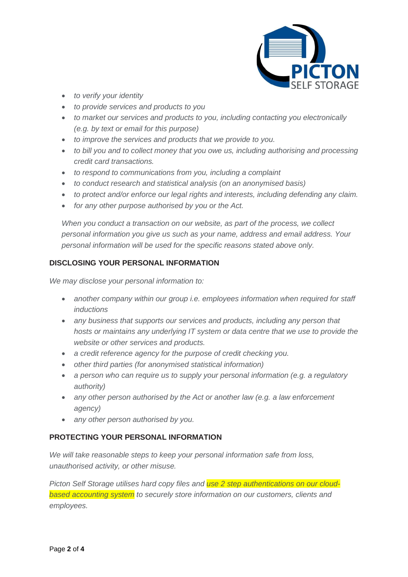

- *to verify your identity*
- *to provide services and products to you*
- *to market our services and products to you, including contacting you electronically (e.g. by text or email for this purpose)*
- *to improve the services and products that we provide to you.*
- *to bill you and to collect money that you owe us, including authorising and processing credit card transactions.*
- *to respond to communications from you, including a complaint*
- *to conduct research and statistical analysis (on an anonymised basis)*
- *to protect and/or enforce our legal rights and interests, including defending any claim.*
- *for any other purpose authorised by you or the Act.*

*When you conduct a transaction on our website, as part of the process, we collect personal information you give us such as your name, address and email address. Your personal information will be used for the specific reasons stated above only.*

#### **DISCLOSING YOUR PERSONAL INFORMATION**

*We may disclose your personal information to:* 

- *another company within our group i.e. employees information when required for staff inductions*
- *any business that supports our services and products, including any person that hosts or maintains any underlying IT system or data centre that we use to provide the website or other services and products.*
- *a credit reference agency for the purpose of credit checking you.*
- *other third parties (for anonymised statistical information)*
- *a person who can require us to supply your personal information (e.g. a regulatory authority)*
- *any other person authorised by the Act or another law (e.g. a law enforcement agency)*
- *any other person authorised by you.*

#### **PROTECTING YOUR PERSONAL INFORMATION**

*We will take reasonable steps to keep your personal information safe from loss, unauthorised activity, or other misuse.*

*Picton Self Storage utilises hard copy files and use 2 step authentications on our cloudbased accounting system to securely store information on our customers, clients and employees.*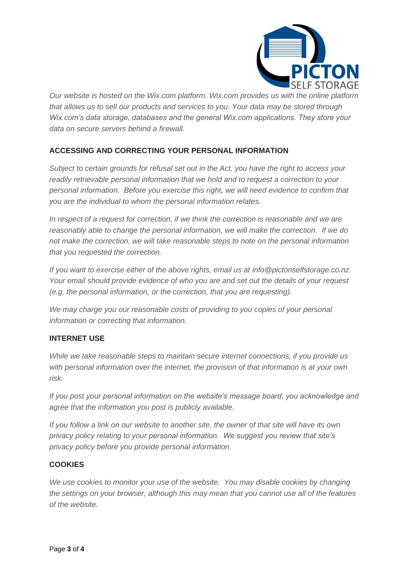

*Our website is hosted on the Wix.com platform. Wix.com provides us with the online platform that allows us to sell our products and services to you. Your data may be stored through Wix.com's data storage, databases and the general Wix.com applications. They store your data on secure servers behind a firewall.*

# **ACCESSING AND CORRECTING YOUR PERSONAL INFORMATION**

*Subject to certain grounds for refusal set out in the Act, you have the right to access your readily retrievable personal information that we hold and to request a correction to your personal information. Before you exercise this right, we will need evidence to confirm that you are the individual to whom the personal information relates.*

*In respect of a request for correction, if we think the correction is reasonable and we are reasonably able to change the personal information, we will make the correction. If we do not make the correction, we will take reasonable steps to note on the personal information that you requested the correction.*

*If you want to exercise either of the above rights, email us at info@pictonselfstorage.co.nz. Your email should provide evidence of who you are and set out the details of your request (e.g. the personal information, or the correction, that you are requesting).*

*We may charge you our reasonable costs of providing to you copies of your personal information or correcting that information.*

## **INTERNET USE**

*While we take reasonable steps to maintain secure internet connections, if you provide us with personal information over the internet, the provision of that information is at your own risk.*

*If you post your personal information on the website's message board, you acknowledge and agree that the information you post is publicly available.*

*If you follow a link on our website to another site, the owner of that site will have its own privacy policy relating to your personal information. We suggest you review that site's privacy policy before you provide personal information.*

## **COOKIES**

*We use cookies to monitor your use of the website. You may disable cookies by changing the settings on your browser, although this may mean that you cannot use all of the features of the website.*